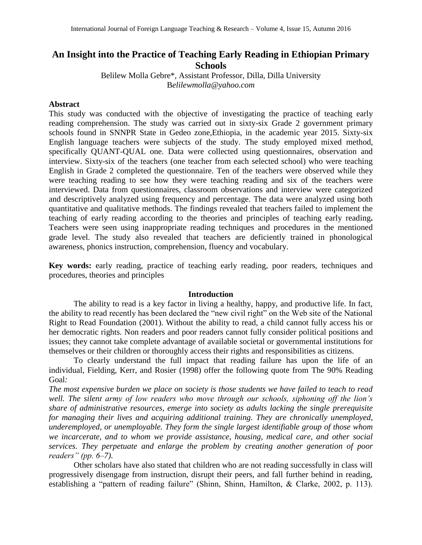# **An Insight into the Practice of Teaching Early Reading in Ethiopian Primary Schools**

Belilew Molla Gebre\*, Assistant Professor, Dilla, Dilla University B*elilewmolla@yahoo.com*

## **Abstract**

This study was conducted with the objective of investigating the practice of teaching early reading comprehension. The study was carried out in sixty-six Grade 2 government primary schools found in SNNPR State in Gedeo zone,Ethiopia, in the academic year 2015. Sixty-six English language teachers were subjects of the study. The study employed mixed method, specifically QUANT-QUAL one. Data were collected using questionnaires, observation and interview. Sixty-six of the teachers (one teacher from each selected school) who were teaching English in Grade 2 completed the questionnaire. Ten of the teachers were observed while they were teaching reading to see how they were teaching reading and six of the teachers were interviewed. Data from questionnaires, classroom observations and interview were categorized and descriptively analyzed using frequency and percentage. The data were analyzed using both quantitative and qualitative methods. The findings revealed that teachers failed to implement the teaching of early reading according to the theories and principles of teaching early reading**.**  Teachers were seen using inappropriate reading techniques and procedures in the mentioned grade level. The study also revealed that teachers are deficiently trained in phonological awareness, phonics instruction, comprehension, fluency and vocabulary.

**Key words:** early reading, practice of teaching early reading, poor readers, techniques and procedures, theories and principles

#### **Introduction**

The ability to read is a key factor in living a healthy, happy, and productive life. In fact, the ability to read recently has been declared the "new civil right" on the Web site of the National Right to Read Foundation (2001). Without the ability to read, a child cannot fully access his or her democratic rights. Non readers and poor readers cannot fully consider political positions and issues; they cannot take complete advantage of available societal or governmental institutions for themselves or their children or thoroughly access their rights and responsibilities as citizens.

To clearly understand the full impact that reading failure has upon the life of an individual, Fielding, Kerr, and Rosier (1998) offer the following quote from The 90% Reading Goal*:*

*The most expensive burden we place on society is those students we have failed to teach to read well. The silent army of low readers who move through our schools, siphoning off the lion's share of administrative resources, emerge into society as adults lacking the single prerequisite for managing their lives and acquiring additional training. They are chronically unemployed, underemployed, or unemployable. They form the single largest identifiable group of those whom we incarcerate, and to whom we provide assistance, housing, medical care, and other social services. They perpetuate and enlarge the problem by creating another generation of poor readers" (pp. 6–7).*

Other scholars have also stated that children who are not reading successfully in class will progressively disengage from instruction, disrupt their peers, and fall further behind in reading, establishing a "pattern of reading failure" (Shinn, Shinn, Hamilton, & Clarke, 2002, p. 113).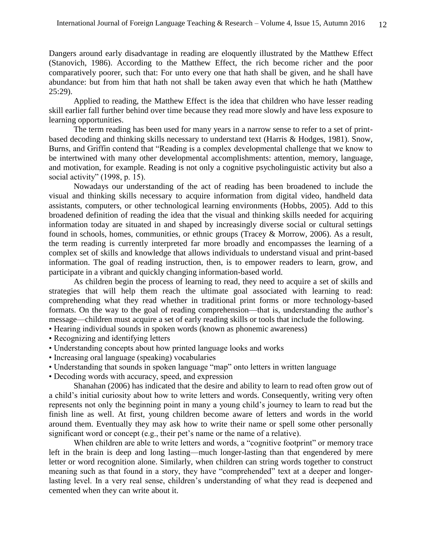Dangers around early disadvantage in reading are eloquently illustrated by the Matthew Effect (Stanovich, 1986). According to the Matthew Effect, the rich become richer and the poor comparatively poorer, such that: For unto every one that hath shall be given, and he shall have abundance: but from him that hath not shall be taken away even that which he hath (Matthew 25:29).

Applied to reading, the Matthew Effect is the idea that children who have lesser reading skill earlier fall further behind over time because they read more slowly and have less exposure to learning opportunities.

The term reading has been used for many years in a narrow sense to refer to a set of printbased decoding and thinking skills necessary to understand text (Harris & Hodges, 1981). Snow, Burns, and Griffin contend that "Reading is a complex developmental challenge that we know to be intertwined with many other developmental accomplishments: attention, memory, language, and motivation, for example. Reading is not only a cognitive psycholinguistic activity but also a social activity" (1998, p. 15).

Nowadays our understanding of the act of reading has been broadened to include the visual and thinking skills necessary to acquire information from digital video, handheld data assistants, computers, or other technological learning environments (Hobbs, 2005). Add to this broadened definition of reading the idea that the visual and thinking skills needed for acquiring information today are situated in and shaped by increasingly diverse social or cultural settings found in schools, homes, communities, or ethnic groups (Tracey & Morrow, 2006). As a result, the term reading is currently interpreted far more broadly and encompasses the learning of a complex set of skills and knowledge that allows individuals to understand visual and print-based information. The goal of reading instruction, then, is to empower readers to learn, grow, and participate in a vibrant and quickly changing information-based world.

As children begin the process of learning to read, they need to acquire a set of skills and strategies that will help them reach the ultimate goal associated with learning to read: comprehending what they read whether in traditional print forms or more technology-based formats. On the way to the goal of reading comprehension—that is, understanding the author's message—children must acquire a set of early reading skills or tools that include the following.

- Hearing individual sounds in spoken words (known as phonemic awareness)
- Recognizing and identifying letters
- Understanding concepts about how printed language looks and works
- Increasing oral language (speaking) vocabularies
- Understanding that sounds in spoken language "map" onto letters in written language
- Decoding words with accuracy, speed, and expression

Shanahan (2006) has indicated that the desire and ability to learn to read often grow out of a child's initial curiosity about how to write letters and words. Consequently, writing very often represents not only the beginning point in many a young child's journey to learn to read but the finish line as well. At first, young children become aware of letters and words in the world around them. Eventually they may ask how to write their name or spell some other personally significant word or concept (e.g., their pet's name or the name of a relative).

When children are able to write letters and words, a "cognitive footprint" or memory trace left in the brain is deep and long lasting—much longer-lasting than that engendered by mere letter or word recognition alone. Similarly, when children can string words together to construct meaning such as that found in a story, they have "comprehended" text at a deeper and longerlasting level. In a very real sense, children's understanding of what they read is deepened and cemented when they can write about it.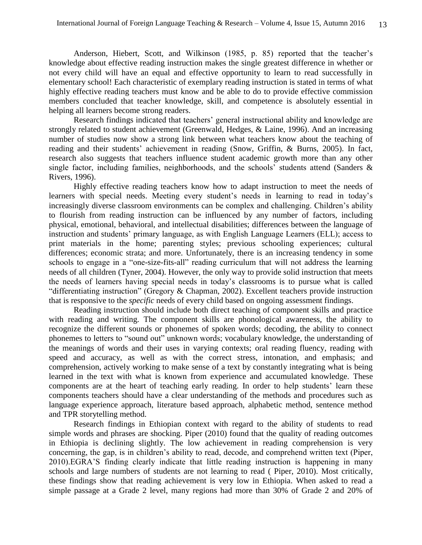Anderson, Hiebert, Scott, and Wilkinson (1985, p. 85) reported that the teacher's knowledge about effective reading instruction makes the single greatest difference in whether or not every child will have an equal and effective opportunity to learn to read successfully in elementary school! Each characteristic of exemplary reading instruction is stated in terms of what highly effective reading teachers must know and be able to do to provide effective commission members concluded that teacher knowledge, skill, and competence is absolutely essential in helping all learners become strong readers.

Research findings indicated that teachers' general instructional ability and knowledge are strongly related to student achievement (Greenwald, Hedges, & Laine, 1996). And an increasing number of studies now show a strong link between what teachers know about the teaching of reading and their students' achievement in reading (Snow, Griffin, & Burns, 2005). In fact, research also suggests that teachers influence student academic growth more than any other single factor, including families, neighborhoods, and the schools' students attend (Sanders & Rivers, 1996).

Highly effective reading teachers know how to adapt instruction to meet the needs of learners with special needs. Meeting every student's needs in learning to read in today's increasingly diverse classroom environments can be complex and challenging. Children's ability to flourish from reading instruction can be influenced by any number of factors, including physical, emotional, behavioral, and intellectual disabilities; differences between the language of instruction and students' primary language, as with English Language Learners (ELL); access to print materials in the home; parenting styles; previous schooling experiences; cultural differences; economic strata; and more. Unfortunately, there is an increasing tendency in some schools to engage in a "one-size-fits-all" reading curriculum that will not address the learning needs of all children (Tyner, 2004). However, the only way to provide solid instruction that meets the needs of learners having special needs in today's classrooms is to pursue what is called "differentiating instruction" (Gregory & Chapman, 2002). Excellent teachers provide instruction that is responsive to the *specific* needs of every child based on ongoing assessment findings.

Reading instruction should include both direct teaching of component skills and practice with reading and writing. The component skills are phonological awareness, the ability to recognize the different sounds or phonemes of spoken words; decoding, the ability to connect phonemes to letters to "sound out" unknown words; vocabulary knowledge, the understanding of the meanings of words and their uses in varying contexts; oral reading fluency, reading with speed and accuracy, as well as with the correct stress, intonation, and emphasis; and comprehension, actively working to make sense of a text by constantly integrating what is being learned in the text with what is known from experience and accumulated knowledge. These components are at the heart of teaching early reading. In order to help students' learn these components teachers should have a clear understanding of the methods and procedures such as language experience approach, literature based approach, alphabetic method, sentence method and TPR storytelling method.

Research findings in Ethiopian context with regard to the ability of students to read simple words and phrases are shocking. Piper (2010) found that the quality of reading outcomes in Ethiopia is declining slightly. The low achievement in reading comprehension is very concerning, the gap, is in children's ability to read, decode, and comprehend written text (Piper, 2010).EGRA'S finding clearly indicate that little reading instruction is happening in many schools and large numbers of students are not learning to read ( Piper, 2010). Most critically, these findings show that reading achievement is very low in Ethiopia. When asked to read a simple passage at a Grade 2 level, many regions had more than 30% of Grade 2 and 20% of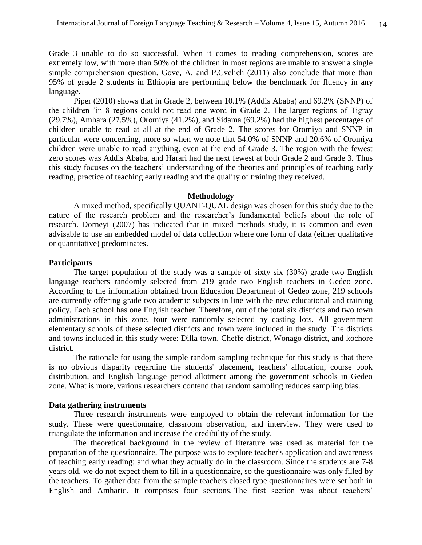Grade 3 unable to do so successful. When it comes to reading comprehension, scores are extremely low, with more than 50% of the children in most regions are unable to answer a single simple comprehension question. Gove, A. and P.Cvelich (2011) also conclude that more than 95% of grade 2 students in Ethiopia are performing below the benchmark for fluency in any language.

Piper (2010) shows that in Grade 2, between 10.1% (Addis Ababa) and 69.2% (SNNP) of the children 'in 8 regions could not read one word in Grade 2. The larger regions of Tigray (29.7%), Amhara (27.5%), Oromiya (41.2%), and Sidama (69.2%) had the highest percentages of children unable to read at all at the end of Grade 2. The scores for Oromiya and SNNP in particular were concerning, more so when we note that 54.0% of SNNP and 20.6% of Oromiya children were unable to read anything, even at the end of Grade 3. The region with the fewest zero scores was Addis Ababa, and Harari had the next fewest at both Grade 2 and Grade 3. Thus this study focuses on the teachers' understanding of the theories and principles of teaching early reading, practice of teaching early reading and the quality of training they received.

#### **Methodology**

A mixed method, specifically QUANT-QUAL design was chosen for this study due to the nature of the research problem and the researcher's fundamental beliefs about the role of research. Dorneyi (2007) has indicated that in mixed methods study, it is common and even advisable to use an embedded model of data collection where one form of data (either qualitative or quantitative) predominates.

## **Participants**

The target population of the study was a sample of sixty six (30%) grade two English language teachers randomly selected from 219 grade two English teachers in Gedeo zone. According to the information obtained from Education Department of Gedeo zone, 219 schools are currently offering grade two academic subjects in line with the new educational and training policy. Each school has one English teacher. Therefore, out of the total six districts and two town administrations in this zone, four were randomly selected by casting lots. All government elementary schools of these selected districts and town were included in the study. The districts and towns included in this study were: Dilla town, Cheffe district, Wonago district, and kochore district.

The rationale for using the simple random sampling technique for this study is that there is no obvious disparity regarding the students' placement, teachers' allocation, course book distribution, and English language period allotment among the government schools in Gedeo zone. What is more, various researchers contend that random sampling reduces sampling bias.

#### **Data gathering instruments**

Three research instruments were employed to obtain the relevant information for the study. These were questionnaire, classroom observation, and interview. They were used to triangulate the information and increase the credibility of the study.

The theoretical background in the review of literature was used as material for the preparation of the questionnaire. The purpose was to explore teacher's application and awareness of teaching early reading; and what they actually do in the classroom. Since the students are 7-8 years old, we do not expect them to fill in a questionnaire, so the questionnaire was only filled by the teachers. To gather data from the sample teachers closed type questionnaires were set both in English and Amharic. It comprises four sections. The first section was about teachers'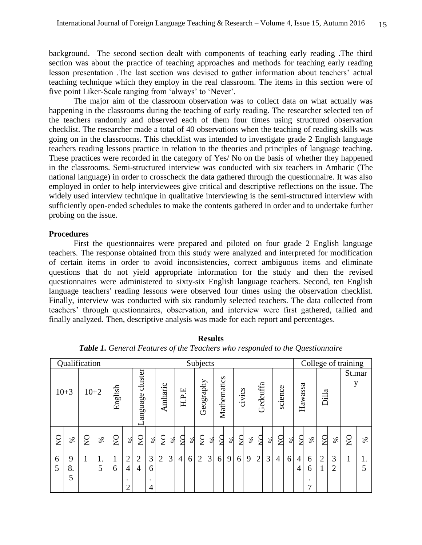background. The second section dealt with components of teaching early reading .The third section was about the practice of teaching approaches and methods for teaching early reading lesson presentation .The last section was devised to gather information about teachers' actual teaching technique which they employ in the real classroom. The items in this section were of five point Liker-Scale ranging from 'always' to 'Never'.

The major aim of the classroom observation was to collect data on what actually was happening in the classrooms during the teaching of early reading. The researcher selected ten of the teachers randomly and observed each of them four times using structured observation checklist. The researcher made a total of 40 observations when the teaching of reading skills was going on in the classrooms. This checklist was intended to investigate grade 2 English language teachers reading lessons practice in relation to the theories and principles of language teaching. These practices were recorded in the category of Yes/ No on the basis of whether they happened in the classrooms. Semi-structured interview was conducted with six teachers in Amharic (The national language) in order to crosscheck the data gathered through the questionnaire. It was also employed in order to help interviewees give critical and descriptive reflections on the issue. The widely used interview technique in qualitative interviewing is the semi-structured interview with sufficiently open-ended schedules to make the contents gathered in order and to undertake further probing on the issue.

#### **Procedures**

First the questionnaires were prepared and piloted on four grade 2 English language teachers. The response obtained from this study were analyzed and interpreted for modification of certain items in order to avoid inconsistencies, correct ambiguous items and eliminate questions that do not yield appropriate information for the study and then the revised questionnaires were administered to sixty-six English language teachers. Second, ten English language teachers' reading lessons were observed four times using the observation checklist. Finally, interview was conducted with six randomly selected teachers. The data collected from teachers' through questionnaires, observation, and interview were first gathered, tallied and finally analyzed. Then, descriptive analysis was made for each report and percentages.

|                | Qualification |                       |      |              | Subjects                                                |                                  |                  |                |                |                |      |                | College of training |             |      |                |      |                |      |                |          |                     |                          |                |                     |              |                                      |
|----------------|---------------|-----------------------|------|--------------|---------------------------------------------------------|----------------------------------|------------------|----------------|----------------|----------------|------|----------------|---------------------|-------------|------|----------------|------|----------------|------|----------------|----------|---------------------|--------------------------|----------------|---------------------|--------------|--------------------------------------|
| $10 + 3$       |               | $10+2$                |      | English      |                                                         | cluster<br>anguage               |                  | Amharic        | щ<br>H.P.      |                |      | Geography      |                     | Mathematics |      | civics         |      | Gedeuffa       |      | science        |          | Hawassa             |                          | Dilla          |                     | St.mar<br>y  |                                      |
| $\overline{Q}$ | $\%$          | $\mathop{\mathsf{S}}$ | $\%$ | $\mathsf{S}$ | $\infty$                                                | $\overline{Q}$                   | $\infty$         | $\overline{S}$ | $\%$           | $\overline{S}$ | $\%$ | $\overline{S}$ | $\infty$            | $\Omega$    | $\%$ | $\overline{a}$ | $\%$ | $\overline{S}$ | $\%$ | $\overline{Q}$ | $\infty$ | $\mathbf{S}$        | $\%$                     | $\overline{S}$ | $\%$                | $\mathsf{S}$ | $% \mathfrak{H}_{\bullet}^{\bullet}$ |
| 6<br>5         | 9<br>8.<br>5  | 1                     | 5    | T<br>6       | $\overline{2}$<br>$\overline{4}$<br>٠<br>$\overline{2}$ | $\overline{2}$<br>$\overline{4}$ | 3<br>6<br>٠<br>4 | $\overline{2}$ | 3 <sub>l</sub> | $\overline{4}$ | 6    | $\overline{2}$ | $\overline{3}$      | 6           | 9    | 6              | 9    | $\overline{2}$ | 3    | $\overline{4}$ | 6        | 4<br>$\overline{4}$ | 6<br>6<br>$\bullet$<br>7 | $\overline{2}$ | 3<br>$\overline{2}$ |              | 1.<br>5                              |

**Results** *Table 1. General Features of the Teachers who responded to the Questionnaire*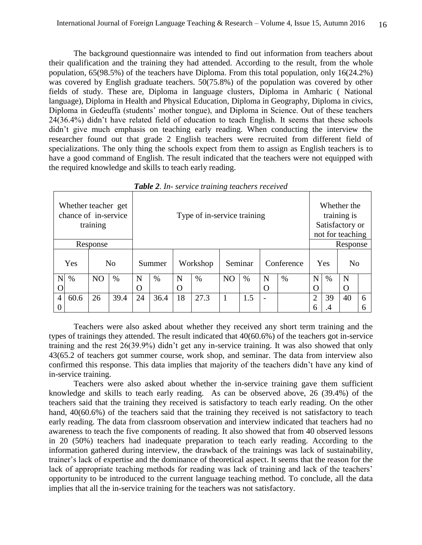The background questionnaire was intended to find out information from teachers about their qualification and the training they had attended. According to the result, from the whole population, 65(98.5%) of the teachers have Diploma. From this total population, only 16(24.2%) was covered by English graduate teachers. 50(75.8%) of the population was covered by other fields of study. These are, Diploma in language clusters, Diploma in Amharic ( National language), Diploma in Health and Physical Education, Diploma in Geography, Diploma in civics, Diploma in Gedeuffa (students' mother tongue), and Diploma in Science. Out of these teachers 24(36.4%) didn't have related field of education to teach English. It seems that these schools didn't give much emphasis on teaching early reading. When conducting the interview the researcher found out that grade 2 English teachers were recruited from different field of specializations. The only thing the schools expect from them to assign as English teachers is to have a good command of English. The result indicated that the teachers were not equipped with the required knowledge and skills to teach early reading.

| Whether teacher get<br>chance of in-service | training       |      |    |        | Whether the<br>training is<br>Satisfactory or<br>not for teaching |      |                |      |                          |      |                |    |                |   |
|---------------------------------------------|----------------|------|----|--------|-------------------------------------------------------------------|------|----------------|------|--------------------------|------|----------------|----|----------------|---|
|                                             | Response       |      |    |        | Response                                                          |      |                |      |                          |      |                |    |                |   |
| Yes                                         | N <sub>o</sub> |      |    | Summer | Workshop                                                          |      | Seminar        |      | Conference               |      | Yes            |    | N <sub>o</sub> |   |
| N<br>$\%$                                   | N <sub>O</sub> | $\%$ | N  | $\%$   | N                                                                 | $\%$ | N <sub>O</sub> | $\%$ | N                        | $\%$ | N              | %  | N              |   |
|                                             |                |      | O  |        | $\Omega$                                                          |      |                |      | O                        |      | O              |    | O              |   |
| 60.6<br>$\overline{4}$                      | 26             | 39.4 | 24 | 36.4   | 18                                                                | 27.3 |                | 1.5  | $\overline{\phantom{0}}$ |      | $\overline{2}$ | 39 | 40             | 6 |
|                                             |                |      |    |        |                                                                   |      |                |      |                          |      | 6              | .4 |                | 6 |

*Table 2. In- service training teachers received*

Teachers were also asked about whether they received any short term training and the types of trainings they attended. The result indicated that 40(60.6%) of the teachers got in-service training and the rest 26(39.9%) didn't get any in-service training. It was also showed that only 43(65.2 of teachers got summer course, work shop, and seminar. The data from interview also confirmed this response. This data implies that majority of the teachers didn't have any kind of in-service training.

Teachers were also asked about whether the in-service training gave them sufficient knowledge and skills to teach early reading. As can be observed above, 26 (39.4%) of the teachers said that the training they received is satisfactory to teach early reading. On the other hand,  $40(60.6%)$  of the teachers said that the training they received is not satisfactory to teach early reading. The data from classroom observation and interview indicated that teachers had no awareness to teach the five components of reading. It also showed that from 40 observed lessons in 20 (50%) teachers had inadequate preparation to teach early reading. According to the information gathered during interview, the drawback of the trainings was lack of sustainability, trainer's lack of expertise and the dominance of theoretical aspect. It seems that the reason for the lack of appropriate teaching methods for reading was lack of training and lack of the teachers' opportunity to be introduced to the current language teaching method. To conclude, all the data implies that all the in-service training for the teachers was not satisfactory.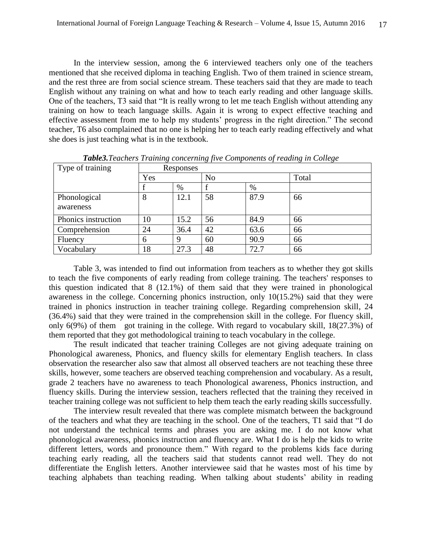In the interview session, among the 6 interviewed teachers only one of the teachers mentioned that she received diploma in teaching English. Two of them trained in science stream, and the rest three are from social science stream. These teachers said that they are made to teach English without any training on what and how to teach early reading and other language skills. One of the teachers, T3 said that "It is really wrong to let me teach English without attending any training on how to teach language skills. Again it is wrong to expect effective teaching and effective assessment from me to help my students' progress in the right direction." The second teacher, T6 also complained that no one is helping her to teach early reading effectively and what she does is just teaching what is in the textbook.

| Type of training    |     | Responses |                |      |       |  |  |  |  |  |  |
|---------------------|-----|-----------|----------------|------|-------|--|--|--|--|--|--|
|                     | Yes |           | N <sub>o</sub> |      | Total |  |  |  |  |  |  |
|                     |     | %         |                | $\%$ |       |  |  |  |  |  |  |
| Phonological        | 8   | 12.1      | 58             | 87.9 | 66    |  |  |  |  |  |  |
| awareness           |     |           |                |      |       |  |  |  |  |  |  |
| Phonics instruction | 10  | 15.2      | 56             | 84.9 | 66    |  |  |  |  |  |  |
| Comprehension       | 24  | 36.4      | 42             | 63.6 | 66    |  |  |  |  |  |  |
| Fluency             | 6   | 9         | 60             | 90.9 | 66    |  |  |  |  |  |  |
| Vocabulary          | 18  | 27.3      | 48             | 72.7 | 66    |  |  |  |  |  |  |

*Table3.Teachers Training concerning five Components of reading in College*

Table 3, was intended to find out information from teachers as to whether they got skills to teach the five components of early reading from college training. The teachers' responses to this question indicated that 8 (12.1%) of them said that they were trained in phonological awareness in the college. Concerning phonics instruction, only 10(15.2%) said that they were trained in phonics instruction in teacher training college. Regarding comprehension skill, 24 (36.4%) said that they were trained in the comprehension skill in the college. For fluency skill, only 6(9%) of them got training in the college. With regard to vocabulary skill, 18(27.3%) of them reported that they got methodological training to teach vocabulary in the college.

The result indicated that teacher training Colleges are not giving adequate training on Phonological awareness, Phonics, and fluency skills for elementary English teachers. In class observation the researcher also saw that almost all observed teachers are not teaching these three skills, however, some teachers are observed teaching comprehension and vocabulary. As a result, grade 2 teachers have no awareness to teach Phonological awareness, Phonics instruction, and fluency skills. During the interview session, teachers reflected that the training they received in teacher training college was not sufficient to help them teach the early reading skills successfully.

The interview result revealed that there was complete mismatch between the background of the teachers and what they are teaching in the school. One of the teachers, T1 said that "I do not understand the technical terms and phrases you are asking me. I do not know what phonological awareness, phonics instruction and fluency are. What I do is help the kids to write different letters, words and pronounce them." With regard to the problems kids face during teaching early reading, all the teachers said that students cannot read well. They do not differentiate the English letters. Another interviewee said that he wastes most of his time by teaching alphabets than teaching reading. When talking about students' ability in reading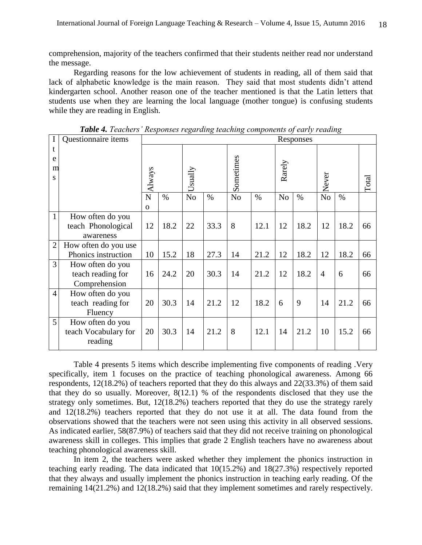comprehension, majority of the teachers confirmed that their students neither read nor understand the message.

Regarding reasons for the low achievement of students in reading, all of them said that lack of alphabetic knowledge is the main reason. They said that most students didn't attend kindergarten school. Another reason one of the teacher mentioned is that the Latin letters that students use when they are learning the local language (mother tongue) is confusing students while they are reading in English.

| $\mathbf I$    | Questionnaire items                                    |                   | $1.99$ $1.000$ $1.000$ $1.000$ |                |      | $\cdots$       | $\frac{1}{2}$ |                | Responses |                |      |       |
|----------------|--------------------------------------------------------|-------------------|--------------------------------|----------------|------|----------------|---------------|----------------|-----------|----------------|------|-------|
| t<br>e<br>m    |                                                        |                   |                                |                |      | Sometimes      |               | Rarely         |           |                |      |       |
| S              |                                                        | Always            |                                | Usually        |      |                |               |                |           | Never          |      | Total |
|                |                                                        | N<br>$\mathbf{O}$ | $\%$                           | N <sub>o</sub> | $\%$ | N <sub>o</sub> | $\%$          | N <sub>o</sub> | $\%$      | N <sub>o</sub> | $\%$ |       |
| $\mathbf{1}$   | How often do you<br>teach Phonological<br>awareness    | 12                | 18.2                           | 22             | 33.3 | 8              | 12.1          | 12             | 18.2      | 12             | 18.2 | 66    |
| $\overline{2}$ | How often do you use<br>Phonics instruction            | 10                | 15.2                           | 18             | 27.3 | 14             | 21.2          | 12             | 18.2      | 12             | 18.2 | 66    |
| $\overline{3}$ | How often do you<br>teach reading for<br>Comprehension | 16                | 24.2                           | 20             | 30.3 | 14             | 21.2          | 12             | 18.2      | $\overline{4}$ | 6    | 66    |
| $\overline{4}$ | How often do you<br>teach reading for<br>Fluency       | 20                | 30.3                           | 14             | 21.2 | 12             | 18.2          | 6              | 9         | 14             | 21.2 | 66    |
| 5              | How often do you<br>teach Vocabulary for<br>reading    | 20                | 30.3                           | 14             | 21.2 | 8              | 12.1          | 14             | 21.2      | 10             | 15.2 | 66    |

*Table 4. Teachers' Responses regarding teaching components of early reading*

Table 4 presents 5 items which describe implementing five components of reading .Very specifically, item 1 focuses on the practice of teaching phonological awareness. Among 66 respondents, 12(18.2%) of teachers reported that they do this always and 22(33.3%) of them said that they do so usually. Moreover, 8(12.1) % of the respondents disclosed that they use the strategy only sometimes. But, 12(18.2%) teachers reported that they do use the strategy rarely and 12(18.2%) teachers reported that they do not use it at all. The data found from the observations showed that the teachers were not seen using this activity in all observed sessions. As indicated earlier, 58(87.9%) of teachers said that they did not receive training on phonological awareness skill in colleges. This implies that grade 2 English teachers have no awareness about teaching phonological awareness skill.

In item 2, the teachers were asked whether they implement the phonics instruction in teaching early reading. The data indicated that 10(15.2%) and 18(27.3%) respectively reported that they always and usually implement the phonics instruction in teaching early reading. Of the remaining 14(21.2%) and 12(18.2%) said that they implement sometimes and rarely respectively.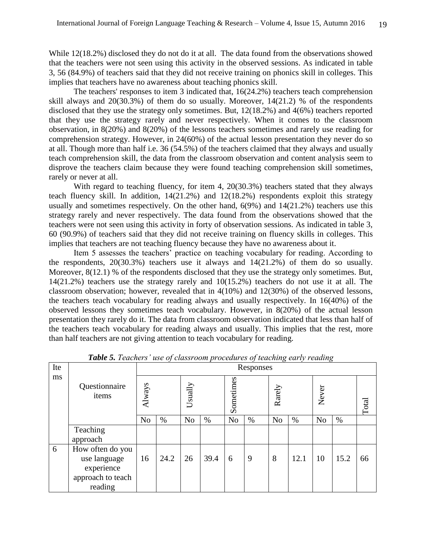While 12(18.2%) disclosed they do not do it at all. The data found from the observations showed that the teachers were not seen using this activity in the observed sessions. As indicated in table 3, 56 (84.9%) of teachers said that they did not receive training on phonics skill in colleges. This implies that teachers have no awareness about teaching phonics skill.

The teachers' responses to item 3 indicated that, 16(24.2%) teachers teach comprehension skill always and  $20(30.3\%)$  of them do so usually. Moreover,  $14(21.2)$  % of the respondents disclosed that they use the strategy only sometimes. But, 12(18.2%) and 4(6%) teachers reported that they use the strategy rarely and never respectively. When it comes to the classroom observation, in 8(20%) and 8(20%) of the lessons teachers sometimes and rarely use reading for comprehension strategy. However, in 24(60%) of the actual lesson presentation they never do so at all. Though more than half i.e. 36 (54.5%) of the teachers claimed that they always and usually teach comprehension skill, the data from the classroom observation and content analysis seem to disprove the teachers claim because they were found teaching comprehension skill sometimes, rarely or never at all.

With regard to teaching fluency, for item 4, 20(30.3%) teachers stated that they always teach fluency skill. In addition, 14(21.2%) and 12(18.2%) respondents exploit this strategy usually and sometimes respectively. On the other hand,  $6(9%)$  and  $14(21.2%)$  teachers use this strategy rarely and never respectively. The data found from the observations showed that the teachers were not seen using this activity in forty of observation sessions. As indicated in table 3, 60 (90.9%) of teachers said that they did not receive training on fluency skills in colleges. This implies that teachers are not teaching fluency because they have no awareness about it.

Item 5 assesses the teachers' practice on teaching vocabulary for reading. According to the respondents, 20(30.3%) teachers use it always and 14(21.2%) of them do so usually. Moreover,  $8(12.1)$  % of the respondents disclosed that they use the strategy only sometimes. But, 14(21.2%) teachers use the strategy rarely and 10(15.2%) teachers do not use it at all. The classroom observation; however, revealed that in 4(10%) and 12(30%) of the observed lessons, the teachers teach vocabulary for reading always and usually respectively. In 16(40%) of the observed lessons they sometimes teach vocabulary. However, in 8(20%) of the actual lesson presentation they rarely do it. The data from classroom observation indicated that less than half of the teachers teach vocabulary for reading always and usually. This implies that the rest, more than half teachers are not giving attention to teach vocabulary for reading.

| Ite |                                                                                | Responses      |      |                |      |                |      |                |      |                |       |    |  |  |
|-----|--------------------------------------------------------------------------------|----------------|------|----------------|------|----------------|------|----------------|------|----------------|-------|----|--|--|
| ms  | Questionnaire<br>items                                                         | Always         |      | Usually        |      | Sometimes      |      | Rarely         |      | Never          | Total |    |  |  |
|     |                                                                                | N <sub>o</sub> | $\%$ | N <sub>o</sub> | %    | N <sub>o</sub> | $\%$ | N <sub>o</sub> | $\%$ | N <sub>o</sub> | %     |    |  |  |
|     | Teaching<br>approach                                                           |                |      |                |      |                |      |                |      |                |       |    |  |  |
| 6   | How often do you<br>use language<br>experience<br>approach to teach<br>reading | 16             | 24.2 | 26             | 39.4 | 6              | 9    | 8              | 12.1 | 10             | 15.2  | 66 |  |  |

*Table 5. Teachers' use of classroom procedures of teaching early reading*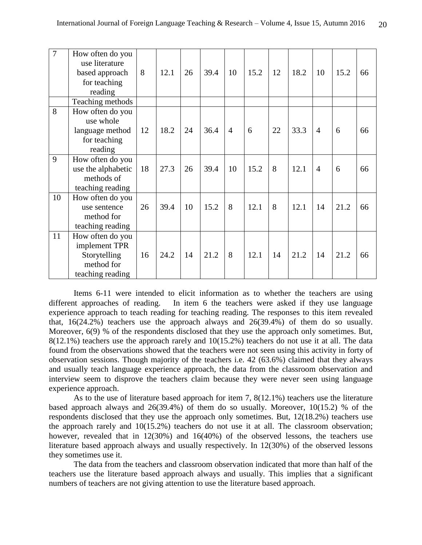| $\overline{7}$ | How often do you<br>use literature<br>based approach<br>for teaching<br>reading     | 8  | 12.1 | 26 | 39.4 | 10             | 15.2 | 12 | 18.2 | 10             | 15.2 | 66 |
|----------------|-------------------------------------------------------------------------------------|----|------|----|------|----------------|------|----|------|----------------|------|----|
|                | Teaching methods                                                                    |    |      |    |      |                |      |    |      |                |      |    |
| 8              | How often do you<br>use whole<br>language method<br>for teaching<br>reading         | 12 | 18.2 | 24 | 36.4 | $\overline{4}$ | 6    | 22 | 33.3 | $\overline{4}$ | 6    | 66 |
| 9              | How often do you<br>use the alphabetic<br>methods of<br>teaching reading            | 18 | 27.3 | 26 | 39.4 | 10             | 15.2 | 8  | 12.1 | $\overline{4}$ | 6    | 66 |
| 10             | How often do you<br>use sentence<br>method for<br>teaching reading                  | 26 | 39.4 | 10 | 15.2 | 8              | 12.1 | 8  | 12.1 | 14             | 21.2 | 66 |
| 11             | How often do you<br>implement TPR<br>Storytelling<br>method for<br>teaching reading | 16 | 24.2 | 14 | 21.2 | 8              | 12.1 | 14 | 21.2 | 14             | 21.2 | 66 |

Items 6-11 were intended to elicit information as to whether the teachers are using different approaches of reading. In item 6 the teachers were asked if they use language experience approach to teach reading for teaching reading. The responses to this item revealed that, 16(24.2%) teachers use the approach always and 26(39.4%) of them do so usually. Moreover, 6(9) % of the respondents disclosed that they use the approach only sometimes. But, 8(12.1%) teachers use the approach rarely and 10(15.2%) teachers do not use it at all. The data found from the observations showed that the teachers were not seen using this activity in forty of observation sessions. Though majority of the teachers i.e. 42 (63.6%) claimed that they always and usually teach language experience approach, the data from the classroom observation and interview seem to disprove the teachers claim because they were never seen using language experience approach.

As to the use of literature based approach for item 7, 8(12.1%) teachers use the literature based approach always and 26(39.4%) of them do so usually. Moreover, 10(15.2) % of the respondents disclosed that they use the approach only sometimes. But, 12(18.2%) teachers use the approach rarely and 10(15.2%) teachers do not use it at all. The classroom observation; however, revealed that in 12(30%) and 16(40%) of the observed lessons, the teachers use literature based approach always and usually respectively. In 12(30%) of the observed lessons they sometimes use it.

The data from the teachers and classroom observation indicated that more than half of the teachers use the literature based approach always and usually. This implies that a significant numbers of teachers are not giving attention to use the literature based approach.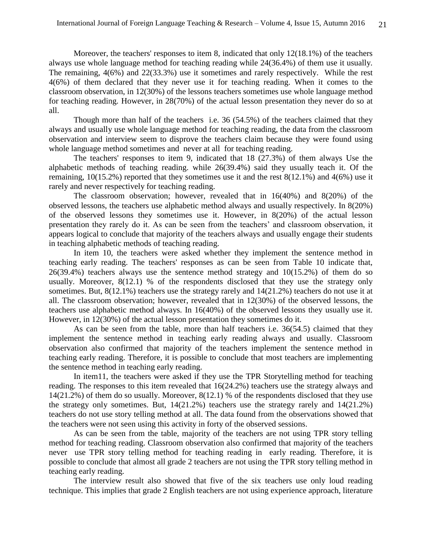Moreover, the teachers' responses to item 8, indicated that only 12(18.1%) of the teachers always use whole language method for teaching reading while 24(36.4%) of them use it usually. The remaining, 4(6%) and 22(33.3%) use it sometimes and rarely respectively. While the rest 4(6%) of them declared that they never use it for teaching reading. When it comes to the classroom observation, in 12(30%) of the lessons teachers sometimes use whole language method for teaching reading. However, in 28(70%) of the actual lesson presentation they never do so at all.

Though more than half of the teachers i.e. 36 (54.5%) of the teachers claimed that they always and usually use whole language method for teaching reading, the data from the classroom observation and interview seem to disprove the teachers claim because they were found using whole language method sometimes and never at all for teaching reading.

The teachers' responses to item 9, indicated that 18 (27.3%) of them always Use the alphabetic methods of teaching reading. while 26(39.4%) said they usually teach it. Of the remaining, 10(15.2%) reported that they sometimes use it and the rest 8(12.1%) and 4(6%) use it rarely and never respectively for teaching reading.

The classroom observation; however, revealed that in 16(40%) and 8(20%) of the observed lessons, the teachers use alphabetic method always and usually respectively. In 8(20%) of the observed lessons they sometimes use it. However, in 8(20%) of the actual lesson presentation they rarely do it. As can be seen from the teachers' and classroom observation, it appears logical to conclude that majority of the teachers always and usually engage their students in teaching alphabetic methods of teaching reading.

In item 10, the teachers were asked whether they implement the sentence method in teaching early reading. The teachers' responses as can be seen from Table 10 indicate that, 26(39.4%) teachers always use the sentence method strategy and 10(15.2%) of them do so usually. Moreover, 8(12.1) % of the respondents disclosed that they use the strategy only sometimes. But, 8(12.1%) teachers use the strategy rarely and 14(21.2%) teachers do not use it at all. The classroom observation; however, revealed that in 12(30%) of the observed lessons, the teachers use alphabetic method always. In 16(40%) of the observed lessons they usually use it. However, in 12(30%) of the actual lesson presentation they sometimes do it.

As can be seen from the table, more than half teachers i.e. 36(54.5) claimed that they implement the sentence method in teaching early reading always and usually. Classroom observation also confirmed that majority of the teachers implement the sentence method in teaching early reading. Therefore, it is possible to conclude that most teachers are implementing the sentence method in teaching early reading.

In item11, the teachers were asked if they use the TPR Storytelling method for teaching reading. The responses to this item revealed that 16(24.2%) teachers use the strategy always and 14(21.2%) of them do so usually. Moreover, 8(12.1) % of the respondents disclosed that they use the strategy only sometimes. But, 14(21.2%) teachers use the strategy rarely and 14(21.2%) teachers do not use story telling method at all. The data found from the observations showed that the teachers were not seen using this activity in forty of the observed sessions.

As can be seen from the table, majority of the teachers are not using TPR story telling method for teaching reading. Classroom observation also confirmed that majority of the teachers never use TPR story telling method for teaching reading in early reading. Therefore, it is possible to conclude that almost all grade 2 teachers are not using the TPR story telling method in teaching early reading.

The interview result also showed that five of the six teachers use only loud reading technique. This implies that grade 2 English teachers are not using experience approach, literature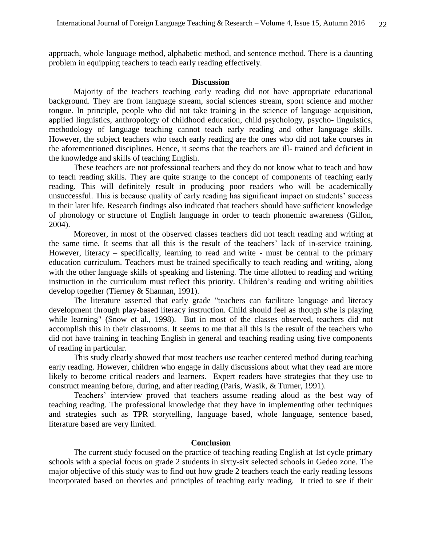approach, whole language method, alphabetic method, and sentence method. There is a daunting problem in equipping teachers to teach early reading effectively.

#### **Discussion**

Majority of the teachers teaching early reading did not have appropriate educational background. They are from language stream, social sciences stream, sport science and mother tongue. In principle, people who did not take training in the science of language acquisition, applied linguistics, anthropology of childhood education, child psychology, psycho- linguistics, methodology of language teaching cannot teach early reading and other language skills. However, the subject teachers who teach early reading are the ones who did not take courses in the aforementioned disciplines. Hence, it seems that the teachers are ill- trained and deficient in the knowledge and skills of teaching English.

These teachers are not professional teachers and they do not know what to teach and how to teach reading skills. They are quite strange to the concept of components of teaching early reading. This will definitely result in producing poor readers who will be academically unsuccessful. This is because quality of early reading has significant impact on students' success in their later life. Research findings also indicated that teachers should have sufficient knowledge of phonology or structure of English language in order to teach phonemic awareness (Gillon, 2004).

Moreover, in most of the observed classes teachers did not teach reading and writing at the same time. It seems that all this is the result of the teachers' lack of in-service training. However, literacy – specifically, learning to read and write - must be central to the primary education curriculum. Teachers must be trained specifically to teach reading and writing, along with the other language skills of speaking and listening. The time allotted to reading and writing instruction in the curriculum must reflect this priority. Children's reading and writing abilities develop together (Tierney & Shannan, 1991).

The literature asserted that early grade "teachers can facilitate language and literacy development through play-based literacy instruction. Child should feel as though s/he is playing while learning" (Snow et al., 1998). But in most of the classes observed, teachers did not accomplish this in their classrooms. It seems to me that all this is the result of the teachers who did not have training in teaching English in general and teaching reading using five components of reading in particular.

This study clearly showed that most teachers use teacher centered method during teaching early reading. However, children who engage in daily discussions about what they read are more likely to become critical readers and learners. Expert readers have strategies that they use to construct meaning before, during, and after reading (Paris, Wasik, & Turner, 1991).

Teachers' interview proved that teachers assume reading aloud as the best way of teaching reading. The professional knowledge that they have in implementing other techniques and strategies such as TPR storytelling, language based, whole language, sentence based, literature based are very limited.

# **Conclusion**

The current study focused on the practice of teaching reading English at 1st cycle primary schools with a special focus on grade 2 students in sixty-six selected schools in Gedeo zone. The major objective of this study was to find out how grade 2 teachers teach the early reading lessons incorporated based on theories and principles of teaching early reading. It tried to see if their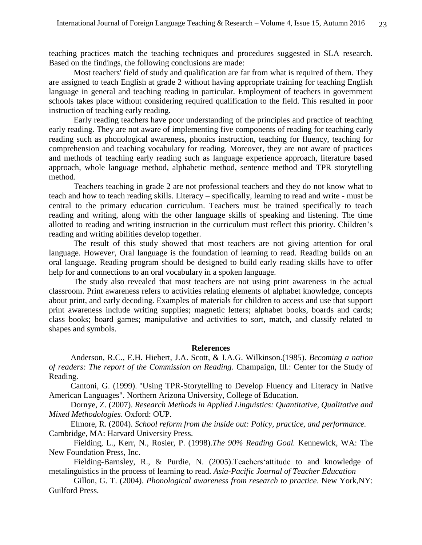teaching practices match the teaching techniques and procedures suggested in SLA research. Based on the findings, the following conclusions are made:

Most teachers' field of study and qualification are far from what is required of them. They are assigned to teach English at grade 2 without having appropriate training for teaching English language in general and teaching reading in particular. Employment of teachers in government schools takes place without considering required qualification to the field. This resulted in poor instruction of teaching early reading.

Early reading teachers have poor understanding of the principles and practice of teaching early reading. They are not aware of implementing five components of reading for teaching early reading such as phonological awareness, phonics instruction, teaching for fluency, teaching for comprehension and teaching vocabulary for reading. Moreover, they are not aware of practices and methods of teaching early reading such as language experience approach, literature based approach, whole language method, alphabetic method, sentence method and TPR storytelling method.

Teachers teaching in grade 2 are not professional teachers and they do not know what to teach and how to teach reading skills. Literacy – specifically, learning to read and write - must be central to the primary education curriculum. Teachers must be trained specifically to teach reading and writing, along with the other language skills of speaking and listening. The time allotted to reading and writing instruction in the curriculum must reflect this priority. Children's reading and writing abilities develop together.

The result of this study showed that most teachers are not giving attention for oral language. Howeve*r,* Oral language is the foundation of learning to read*.* Reading builds on an oral language. Reading program should be designed to build early reading skills have to offer help for and connections to an oral vocabulary in a spoken language.

The study also revealed that most teachers are not using print awareness in the actual classroom. Print awareness refers to activities relating elements of alphabet knowledge, concepts about print, and early decoding. Examples of materials for children to access and use that support print awareness include writing supplies; magnetic letters; alphabet books, boards and cards; class books; board games; manipulative and activities to sort, match, and classify related to shapes and symbols.

## **References**

Anderson, R.C., E.H. Hiebert, J.A. Scott, & I.A.G. Wilkinson.(1985). *Becoming a nation of readers: The report of the Commission on Reading*. Champaign, Ill.: Center for the Study of Reading.

Cantoni, G. (1999). ["Using TPR-Storytelling to Develop Fluency and Literacy in Native](http://jan.ucc.nau.edu/~jar/RIL_5.html)  [American Languages".](http://jan.ucc.nau.edu/~jar/RIL_5.html) Northern Arizona University, College of Education.

Dornye, Z. (2007). *Research Methods in Applied Linguistics: Quantitative, Qualitative and Mixed Methodologies*. Oxford: OUP.

Elmore, R. (2004). *School reform from the inside out: Policy, practice, and performance.* Cambridge, MA: Harvard University Press.

Fielding, L., Kerr, N., Rosier, P. (1998).*The 90% Reading Goal.* Kennewick, WA: The New Foundation Press, Inc.

Fielding-Barnsley, R., & Purdie, N. (2005).Teachers'attitude to and knowledge of metalinguistics in the process of learning to read. *Asia-Pacific Journal of Teacher Education*

Gillon, G. T. (2004). *Phonological awareness from research to practice*. New York,NY: Guilford Press.